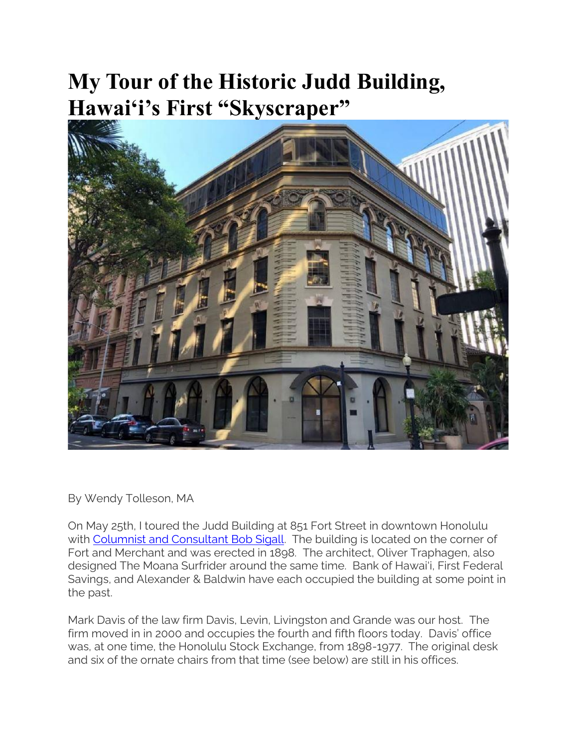## **My Tour of the Historic Judd Building, Hawai'i's First "Skyscraper"**



By Wendy Tolleson, MA

On May 25th, I toured the Judd Building at 851 Fort Street in downtown Honolulu with [Columnist and Consultant Bob Sigall.](https://historichawaii.org/2021/10/01/bob-sigall-a-look-at-the-man-behind-the-rearview-mirror/) The building is located on the corner of Fort and Merchant and was erected in 1898. The architect, Oliver Traphagen, also designed The Moana Surfrider around the same time. Bank of Hawai'i, First Federal Savings, and Alexander & Baldwin have each occupied the building at some point in the past.

Mark Davis of the law firm Davis, Levin, Livingston and Grande was our host. The firm moved in in 2000 and occupies the fourth and fifth floors today. Davis' office was, at one time, the Honolulu Stock Exchange, from 1898-1977. The original desk and six of the ornate chairs from that time (see below) are still in his offices.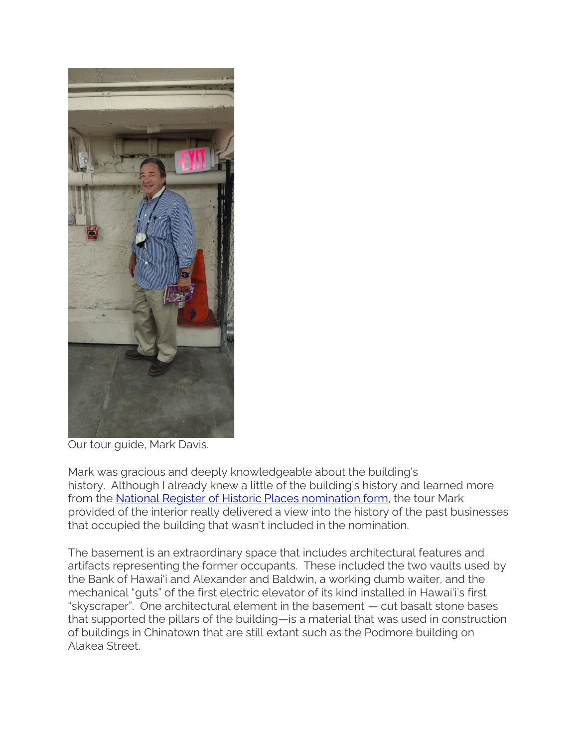

Our tour guide, Mark Davis.

Mark was gracious and deeply knowledgeable about the building's history. Although I already knew a little of the building's history and learned more from the [National Register of Historic Places nomination form,](https://historichawaii.org/2020/01/29/fort-street_851_honolulu_judd-building/) the tour Mark provided of the interior really delivered a view into the history of the past businesses that occupied the building that wasn't included in the nomination.

The basement is an extraordinary space that includes architectural features and artifacts representing the former occupants. These included the two vaults used by the Bank of Hawai'i and Alexander and Baldwin, a working dumb waiter, and the mechanical "guts" of the first electric elevator of its kind installed in Hawai'i's first "skyscraper". One architectural element in the basement — cut basalt stone bases that supported the pillars of the building—is a material that was used in construction of buildings in Chinatown that are still extant such as the Podmore building on Alakea Street.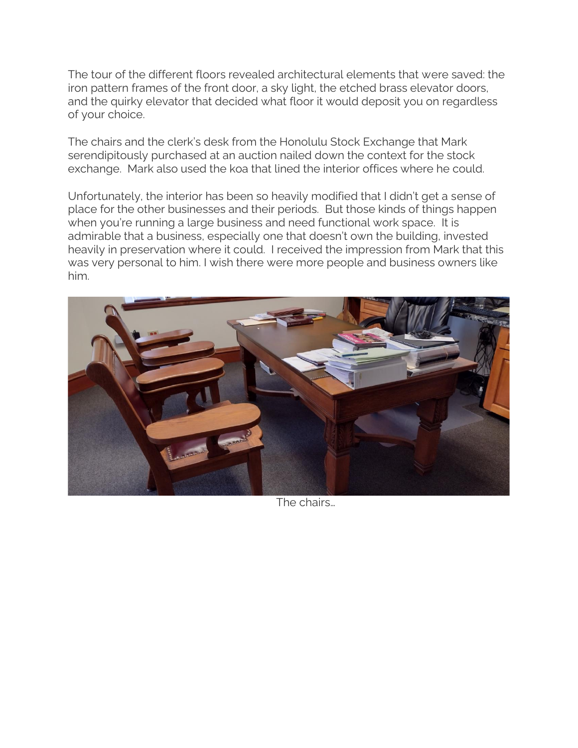The tour of the different floors revealed architectural elements that were saved: the iron pattern frames of the front door, a sky light, the etched brass elevator doors, and the quirky elevator that decided what floor it would deposit you on regardless of your choice.

The chairs and the clerk's desk from the Honolulu Stock Exchange that Mark serendipitously purchased at an auction nailed down the context for the stock exchange. Mark also used the koa that lined the interior offices where he could.

Unfortunately, the interior has been so heavily modified that I didn't get a sense of place for the other businesses and their periods. But those kinds of things happen when you're running a large business and need functional work space. It is admirable that a business, especially one that doesn't own the building, invested heavily in preservation where it could. I received the impression from Mark that this was very personal to him. I wish there were more people and business owners like him.



The chairs…